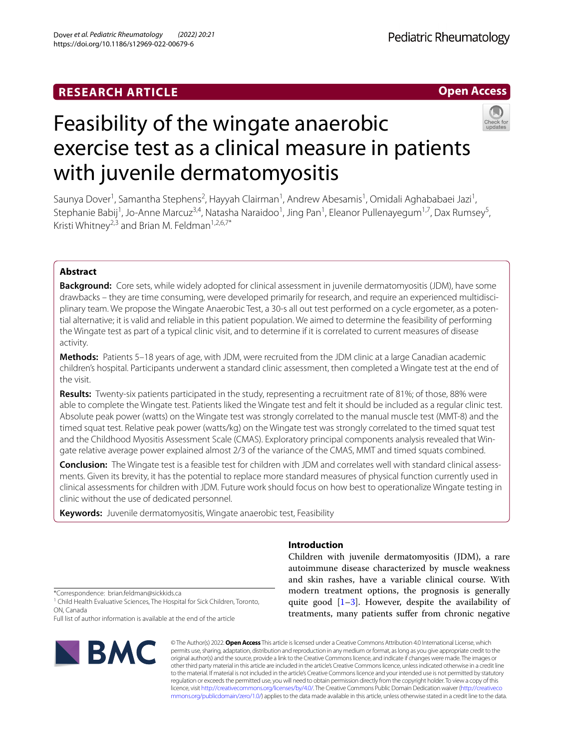# **RESEARCH ARTICLE**



# Feasibility of the wingate anaerobic exercise test as a clinical measure in patients with juvenile dermatomyositis



Saunya Dover<sup>1</sup>, Samantha Stephens<sup>2</sup>, Hayyah Clairman<sup>1</sup>, Andrew Abesamis<sup>1</sup>, Omidali Aghababaei Jazi<sup>1</sup>, Stephanie Babij<sup>1</sup>, Jo-Anne Marcuz<sup>3,4</sup>, Natasha Naraidoo<sup>1</sup>, Jing Pan<sup>1</sup>, Eleanor Pullenayegum<sup>1,7</sup>, Dax Rumsey<sup>5</sup>, Kristi Whitnev<sup>2,3</sup> and Brian M. Feldman<sup>1,2,6,7\*</sup>

# **Abstract**

**Background:** Core sets, while widely adopted for clinical assessment in juvenile dermatomyositis (JDM), have some drawbacks – they are time consuming, were developed primarily for research, and require an experienced multidisciplinary team. We propose the Wingate Anaerobic Test, a 30-s all out test performed on a cycle ergometer, as a potential alternative; it is valid and reliable in this patient population. We aimed to determine the feasibility of performing the Wingate test as part of a typical clinic visit, and to determine if it is correlated to current measures of disease activity.

**Methods:** Patients 5–18 years of age, with JDM, were recruited from the JDM clinic at a large Canadian academic children's hospital. Participants underwent a standard clinic assessment, then completed a Wingate test at the end of the visit.

**Results:** Twenty-six patients participated in the study, representing a recruitment rate of 81%; of those, 88% were able to complete the Wingate test. Patients liked the Wingate test and felt it should be included as a regular clinic test. Absolute peak power (watts) on the Wingate test was strongly correlated to the manual muscle test (MMT-8) and the timed squat test. Relative peak power (watts/kg) on the Wingate test was strongly correlated to the timed squat test and the Childhood Myositis Assessment Scale (CMAS). Exploratory principal components analysis revealed that Wingate relative average power explained almost 2/3 of the variance of the CMAS, MMT and timed squats combined.

**Conclusion:** The Wingate test is a feasible test for children with JDM and correlates well with standard clinical assess‑ ments. Given its brevity, it has the potential to replace more standard measures of physical function currently used in clinical assessments for children with JDM. Future work should focus on how best to operationalize Wingate testing in clinic without the use of dedicated personnel.

**Keywords:** Juvenile dermatomyositis, Wingate anaerobic test, Feasibility

# **Introduction**

Children with juvenile dermatomyositis (JDM), a rare autoimmune disease characterized by muscle weakness and skin rashes, have a variable clinical course. With modern treatment options, the prognosis is generally quite good  $[1-3]$  $[1-3]$ . However, despite the availability of treatments, many patients sufer from chronic negative

\*Correspondence: brian.feldman@sickkids.ca

<sup>1</sup> Child Health Evaluative Sciences, The Hospital for Sick Children, Toronto, ON, Canada

Full list of author information is available at the end of the article



© The Author(s) 2022. **Open Access** This article is licensed under a Creative Commons Attribution 4.0 International License, which permits use, sharing, adaptation, distribution and reproduction in any medium or format, as long as you give appropriate credit to the original author(s) and the source, provide a link to the Creative Commons licence, and indicate if changes were made. The images or other third party material in this article are included in the article's Creative Commons licence, unless indicated otherwise in a credit line to the material. If material is not included in the article's Creative Commons licence and your intended use is not permitted by statutory regulation or exceeds the permitted use, you will need to obtain permission directly from the copyright holder. To view a copy of this licence, visit [http://creativecommons.org/licenses/by/4.0/.](http://creativecommons.org/licenses/by/4.0/) The Creative Commons Public Domain Dedication waiver ([http://creativeco](http://creativecommons.org/publicdomain/zero/1.0/) [mmons.org/publicdomain/zero/1.0/](http://creativecommons.org/publicdomain/zero/1.0/)) applies to the data made available in this article, unless otherwise stated in a credit line to the data.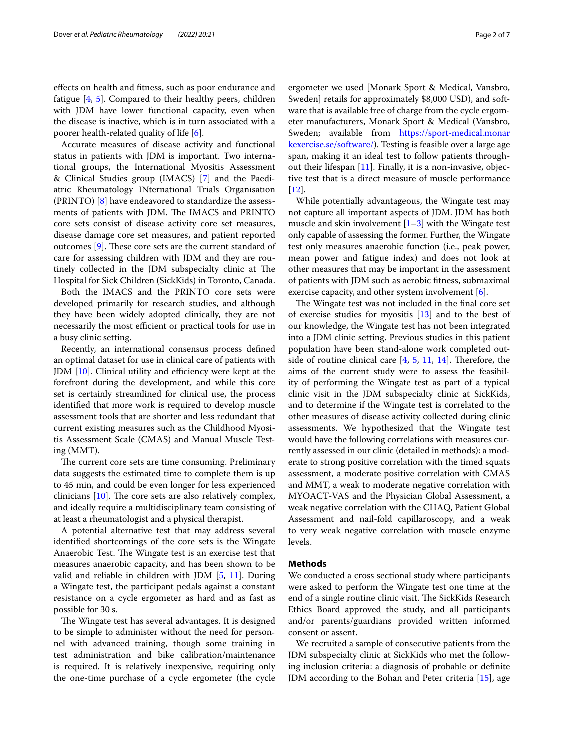efects on health and ftness, such as poor endurance and fatigue [[4,](#page-6-2) [5](#page-6-3)]. Compared to their healthy peers, children with JDM have lower functional capacity, even when the disease is inactive, which is in turn associated with a poorer health-related quality of life [[6\]](#page-6-4).

Accurate measures of disease activity and functional status in patients with JDM is important. Two international groups, the International Myositis Assessment & Clinical Studies group (IMACS) [[7\]](#page-6-5) and the Paediatric Rheumatology INternational Trials Organisation (PRINTO) [[8](#page-6-6)] have endeavored to standardize the assessments of patients with JDM. The IMACS and PRINTO core sets consist of disease activity core set measures, disease damage core set measures, and patient reported outcomes  $[9]$  $[9]$ . These core sets are the current standard of care for assessing children with JDM and they are routinely collected in the JDM subspecialty clinic at The Hospital for Sick Children (SickKids) in Toronto, Canada.

Both the IMACS and the PRINTO core sets were developed primarily for research studies, and although they have been widely adopted clinically, they are not necessarily the most efficient or practical tools for use in a busy clinic setting.

Recently, an international consensus process defned an optimal dataset for use in clinical care of patients with JDM  $[10]$  $[10]$ . Clinical utility and efficiency were kept at the forefront during the development, and while this core set is certainly streamlined for clinical use, the process identifed that more work is required to develop muscle assessment tools that are shorter and less redundant that current existing measures such as the Childhood Myositis Assessment Scale (CMAS) and Manual Muscle Testing (MMT).

The current core sets are time consuming. Preliminary data suggests the estimated time to complete them is up to 45 min, and could be even longer for less experienced clinicians  $[10]$  $[10]$  $[10]$ . The core sets are also relatively complex, and ideally require a multidisciplinary team consisting of at least a rheumatologist and a physical therapist.

A potential alternative test that may address several identifed shortcomings of the core sets is the Wingate Anaerobic Test. The Wingate test is an exercise test that measures anaerobic capacity, and has been shown to be valid and reliable in children with JDM [\[5](#page-6-3), [11](#page-6-9)]. During a Wingate test, the participant pedals against a constant resistance on a cycle ergometer as hard and as fast as possible for 30 s.

The Wingate test has several advantages. It is designed to be simple to administer without the need for personnel with advanced training, though some training in test administration and bike calibration/maintenance is required. It is relatively inexpensive, requiring only the one-time purchase of a cycle ergometer (the cycle ergometer we used [Monark Sport & Medical, Vansbro, Sweden] retails for approximately \$8,000 USD), and software that is available free of charge from the cycle ergometer manufacturers, Monark Sport & Medical (Vansbro, Sweden; available from [https://sport-medical.monar](https://sport-medical.monarkexercise.se/software/) [kexercise.se/software/\)](https://sport-medical.monarkexercise.se/software/). Testing is feasible over a large age span, making it an ideal test to follow patients throughout their lifespan [\[11\]](#page-6-9). Finally, it is a non-invasive, objective test that is a direct measure of muscle performance [[12\]](#page-6-10).

While potentially advantageous, the Wingate test may not capture all important aspects of JDM. JDM has both muscle and skin involvement  $[1-3]$  $[1-3]$  with the Wingate test only capable of assessing the former. Further, the Wingate test only measures anaerobic function (i.e., peak power, mean power and fatigue index) and does not look at other measures that may be important in the assessment of patients with JDM such as aerobic ftness, submaximal exercise capacity, and other system involvement [\[6](#page-6-4)].

The Wingate test was not included in the final core set of exercise studies for myositis [\[13](#page-6-11)] and to the best of our knowledge, the Wingate test has not been integrated into a JDM clinic setting. Previous studies in this patient population have been stand-alone work completed outside of routine clinical care  $[4, 5, 11, 14]$  $[4, 5, 11, 14]$  $[4, 5, 11, 14]$  $[4, 5, 11, 14]$  $[4, 5, 11, 14]$  $[4, 5, 11, 14]$  $[4, 5, 11, 14]$  $[4, 5, 11, 14]$ . Therefore, the aims of the current study were to assess the feasibility of performing the Wingate test as part of a typical clinic visit in the JDM subspecialty clinic at SickKids, and to determine if the Wingate test is correlated to the other measures of disease activity collected during clinic assessments. We hypothesized that the Wingate test would have the following correlations with measures currently assessed in our clinic (detailed in methods): a moderate to strong positive correlation with the timed squats assessment, a moderate positive correlation with CMAS and MMT, a weak to moderate negative correlation with MYOACT-VAS and the Physician Global Assessment, a weak negative correlation with the CHAQ, Patient Global Assessment and nail-fold capillaroscopy, and a weak to very weak negative correlation with muscle enzyme levels.

# **Methods**

We conducted a cross sectional study where participants were asked to perform the Wingate test one time at the end of a single routine clinic visit. The SickKids Research Ethics Board approved the study, and all participants and/or parents/guardians provided written informed consent or assent.

We recruited a sample of consecutive patients from the JDM subspecialty clinic at SickKids who met the following inclusion criteria: a diagnosis of probable or defnite JDM according to the Bohan and Peter criteria [[15](#page-6-13)], age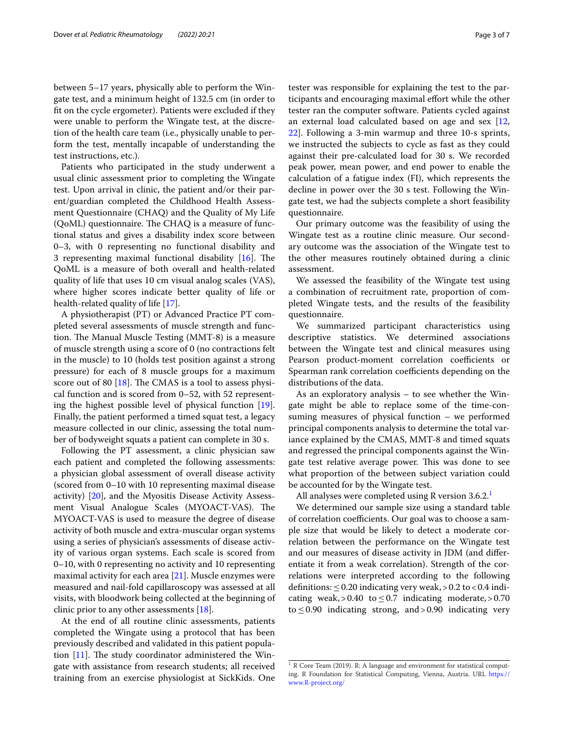between 5–17 years, physically able to perform the Wingate test, and a minimum height of 132.5 cm (in order to ft on the cycle ergometer). Patients were excluded if they were unable to perform the Wingate test, at the discretion of the health care team (i.e., physically unable to perform the test, mentally incapable of understanding the test instructions, etc.).

Patients who participated in the study underwent a usual clinic assessment prior to completing the Wingate test. Upon arrival in clinic, the patient and/or their parent/guardian completed the Childhood Health Assessment Questionnaire (CHAQ) and the Quality of My Life  $(QoML)$  questionnaire. The CHAQ is a measure of functional status and gives a disability index score between 0–3, with 0 representing no functional disability and 3 representing maximal functional disability  $[16]$  $[16]$ . The QoML is a measure of both overall and health-related quality of life that uses 10 cm visual analog scales (VAS), where higher scores indicate better quality of life or health-related quality of life [[17\]](#page-6-15).

A physiotherapist (PT) or Advanced Practice PT completed several assessments of muscle strength and function. The Manual Muscle Testing (MMT-8) is a measure of muscle strength using a score of 0 (no contractions felt in the muscle) to 10 (holds test position against a strong pressure) for each of 8 muscle groups for a maximum score out of 80  $[18]$  $[18]$ . The CMAS is a tool to assess physical function and is scored from 0–52, with 52 representing the highest possible level of physical function [\[19](#page-6-17)]. Finally, the patient performed a timed squat test, a legacy measure collected in our clinic, assessing the total number of bodyweight squats a patient can complete in 30 s.

Following the PT assessment, a clinic physician saw each patient and completed the following assessments: a physician global assessment of overall disease activity (scored from 0–10 with 10 representing maximal disease activity) [[20](#page-6-18)], and the Myositis Disease Activity Assessment Visual Analogue Scales (MYOACT-VAS). The MYOACT-VAS is used to measure the degree of disease activity of both muscle and extra-muscular organ systems using a series of physician's assessments of disease activity of various organ systems. Each scale is scored from 0–10, with 0 representing no activity and 10 representing maximal activity for each area  $[21]$  $[21]$ . Muscle enzymes were measured and nail-fold capillaroscopy was assessed at all visits, with bloodwork being collected at the beginning of clinic prior to any other assessments [[18](#page-6-16)].

At the end of all routine clinic assessments, patients completed the Wingate using a protocol that has been previously described and validated in this patient population  $[11]$  $[11]$ . The study coordinator administered the Wingate with assistance from research students; all received training from an exercise physiologist at SickKids. One tester was responsible for explaining the test to the participants and encouraging maximal efort while the other tester ran the computer software. Patients cycled against an external load calculated based on age and sex [[12](#page-6-10), [22\]](#page-6-20). Following a 3-min warmup and three 10-s sprints, we instructed the subjects to cycle as fast as they could against their pre-calculated load for 30 s. We recorded peak power, mean power, and end power to enable the calculation of a fatigue index (FI), which represents the decline in power over the 30 s test. Following the Wingate test, we had the subjects complete a short feasibility questionnaire.

Our primary outcome was the feasibility of using the Wingate test as a routine clinic measure. Our secondary outcome was the association of the Wingate test to the other measures routinely obtained during a clinic assessment.

We assessed the feasibility of the Wingate test using a combination of recruitment rate, proportion of completed Wingate tests, and the results of the feasibility questionnaire.

We summarized participant characteristics using descriptive statistics. We determined associations between the Wingate test and clinical measures using Pearson product-moment correlation coefficients or Spearman rank correlation coefficients depending on the distributions of the data.

As an exploratory analysis – to see whether the Wingate might be able to replace some of the time-consuming measures of physical function – we performed principal components analysis to determine the total variance explained by the CMAS, MMT-8 and timed squats and regressed the principal components against the Wingate test relative average power. This was done to see what proportion of the between subject variation could be accounted for by the Wingate test.

All analyses were completed using R version  $3.6.2<sup>1</sup>$ 

We determined our sample size using a standard table of correlation coefficients. Our goal was to choose a sample size that would be likely to detect a moderate correlation between the performance on the Wingate test and our measures of disease activity in JDM (and diferentiate it from a weak correlation). Strength of the correlations were interpreted according to the following definitions:  $\leq$  0.20 indicating very weak, > 0.2 to < 0.4 indicating weak, > 0.40 to  $\leq$  0.7 indicating moderate, > 0.70 to  $\leq$  0.90 indicating strong, and > 0.90 indicating very

<span id="page-2-0"></span> $1 R$  Core Team (2019). R: A language and environment for statistical computing. R Foundation for Statistical Computing, Vienna, Austria. URL [https://](https://www.R-project.org/) [www.R-project.org/](https://www.R-project.org/)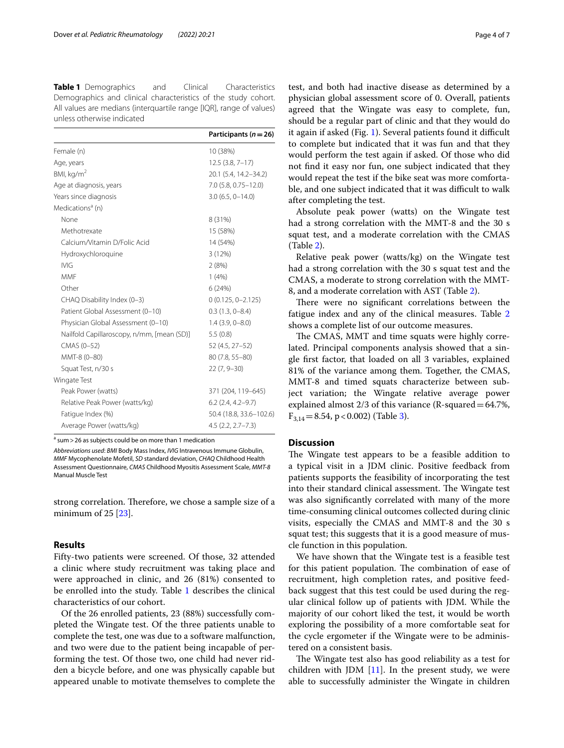<span id="page-3-0"></span>**Table 1** Demographics and Clinical Characteristics Demographics and clinical characteristics of the study cohort. All values are medians (interquartile range [IQR], range of values) unless otherwise indicated

|                                            | Participants ( $n = 26$ ) |
|--------------------------------------------|---------------------------|
| Female (n)                                 | 10 (38%)                  |
| Age, years                                 | $12.5(3.8, 7-17)$         |
| BMI, kg/m <sup>2</sup>                     | 20.1 (5.4, 14.2-34.2)     |
| Age at diagnosis, years                    | 7.0 (5.8, 0.75-12.0)      |
| Years since diagnosis                      | $3.0(6.5, 0-14.0)$        |
| Medications <sup>a</sup> (n)               |                           |
| None                                       | 8 (31%)                   |
| Methotrexate                               | 15 (58%)                  |
| Calcium/Vitamin D/Folic Acid               | 14 (54%)                  |
| Hydroxychloroquine                         | 3 (12%)                   |
| <b>IVIG</b>                                | 2(8%)                     |
| <b>MMF</b>                                 | 1(4%)                     |
| Other                                      | 6(24%)                    |
| CHAQ Disability Index (0-3)                | $0(0.125, 0 - 2.125)$     |
| Patient Global Assessment (0-10)           | $0.3(1.3, 0-8.4)$         |
| Physician Global Assessment (0-10)         | $1.4$ (3.9, 0-8.0)        |
| Nailfold Capillaroscopy, n/mm, [mean (SD)] | 5.5(0.8)                  |
| CMAS (0-52)                                | 52 (4.5, 27-52)           |
| MMT-8 (0-80)                               | 80 (7.8, 55-80)           |
| Squat Test, n/30 s                         | $22(7, 9 - 30)$           |
| Wingate Test                               |                           |
| Peak Power (watts)                         | 371 (204, 119-645)        |
| Relative Peak Power (watts/kg)             | $6.2$ (2.4, 4.2-9.7)      |
| Fatique Index (%)                          | 50.4 (18.8, 33.6-102.6)   |
| Average Power (watts/kg)                   | $4.5(2.2, 2.7 - 7.3)$     |

<sup>a</sup> sum > 26 as subjects could be on more than 1 medication

*Abbreviations used*: *BMI* Body Mass Index, *IVIG* Intravenous Immune Globulin, *MMF* Mycophenolate Mofetil, *SD* standard deviation, *CHAQ* Childhood Health Assessment Questionnaire, *CMAS* Childhood Myositis Assessment Scale, *MMT-8* Manual Muscle Test

strong correlation. Therefore, we chose a sample size of a minimum of  $25$  [ $23$ ].

# **Results**

Fifty-two patients were screened. Of those, 32 attended a clinic where study recruitment was taking place and were approached in clinic, and 26 (81%) consented to be enrolled into the study. Table [1](#page-3-0) describes the clinical characteristics of our cohort.

Of the 26 enrolled patients, 23 (88%) successfully completed the Wingate test. Of the three patients unable to complete the test, one was due to a software malfunction, and two were due to the patient being incapable of performing the test. Of those two, one child had never ridden a bicycle before, and one was physically capable but appeared unable to motivate themselves to complete the test, and both had inactive disease as determined by a physician global assessment score of 0. Overall, patients agreed that the Wingate was easy to complete, fun, should be a regular part of clinic and that they would do it again if asked (Fig. [1\)](#page-4-0). Several patients found it difficult to complete but indicated that it was fun and that they would perform the test again if asked. Of those who did not fnd it easy nor fun, one subject indicated that they would repeat the test if the bike seat was more comfortable, and one subject indicated that it was difficult to walk after completing the test.

Absolute peak power (watts) on the Wingate test had a strong correlation with the MMT-8 and the 30 s squat test, and a moderate correlation with the CMAS (Table [2\)](#page-4-1).

Relative peak power (watts/kg) on the Wingate test had a strong correlation with the 30 s squat test and the CMAS, a moderate to strong correlation with the MMT-8, and a moderate correlation with AST (Table [2](#page-4-1)).

There were no significant correlations between the fatigue index and any of the clinical measures. Table [2](#page-4-1) shows a complete list of our outcome measures.

The CMAS, MMT and time squats were highly correlated. Principal components analysis showed that a single frst factor, that loaded on all 3 variables, explained 81% of the variance among them. Together, the CMAS, MMT-8 and timed squats characterize between subject variation; the Wingate relative average power explained almost 2/3 of this variance (R-squared=64.7%,  $F_{3,14}=8.54$ , p < 0.002) (Table [3\)](#page-5-0).

# **Discussion**

The Wingate test appears to be a feasible addition to a typical visit in a JDM clinic. Positive feedback from patients supports the feasibility of incorporating the test into their standard clinical assessment. The Wingate test was also signifcantly correlated with many of the more time-consuming clinical outcomes collected during clinic visits, especially the CMAS and MMT-8 and the 30 s squat test; this suggests that it is a good measure of muscle function in this population.

We have shown that the Wingate test is a feasible test for this patient population. The combination of ease of recruitment, high completion rates, and positive feedback suggest that this test could be used during the regular clinical follow up of patients with JDM. While the majority of our cohort liked the test, it would be worth exploring the possibility of a more comfortable seat for the cycle ergometer if the Wingate were to be administered on a consistent basis.

The Wingate test also has good reliability as a test for children with JDM  $[11]$  $[11]$ . In the present study, we were able to successfully administer the Wingate in children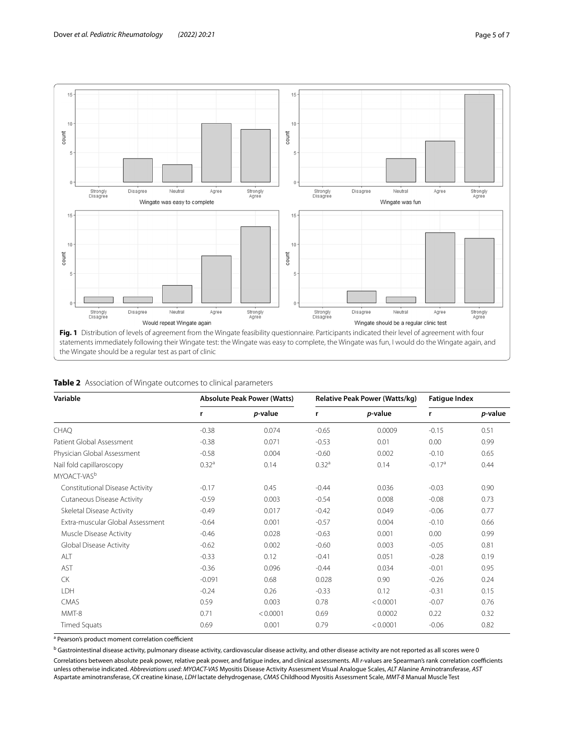

| Variable                         | <b>Absolute Peak Power (Watts)</b> |          | <b>Relative Peak Power (Watts/kg)</b> |          | <b>Fatigue Index</b> |                 |
|----------------------------------|------------------------------------|----------|---------------------------------------|----------|----------------------|-----------------|
|                                  | r                                  | p-value  | r                                     | p-value  | r                    | <i>p</i> -value |
| <b>CHAO</b>                      | $-0.38$                            | 0.074    | $-0.65$                               | 0.0009   | $-0.15$              | 0.51            |
| Patient Global Assessment        | $-0.38$                            | 0.071    | $-0.53$                               | 0.01     | 0.00                 | 0.99            |
| Physician Global Assessment      | $-0.58$                            | 0.004    | $-0.60$                               | 0.002    | $-0.10$              | 0.65            |
| Nail fold capillaroscopy         | 0.32 <sup>a</sup>                  | 0.14     | 0.32 <sup>a</sup>                     | 0.14     | $-0.17a$             | 0.44            |
| MYOACT-VAS <sup>b</sup>          |                                    |          |                                       |          |                      |                 |
| Constitutional Disease Activity  | $-0.17$                            | 0.45     | $-0.44$                               | 0.036    | $-0.03$              | 0.90            |
| Cutaneous Disease Activity       | $-0.59$                            | 0.003    | $-0.54$                               | 0.008    | $-0.08$              | 0.73            |
| Skeletal Disease Activity        | $-0.49$                            | 0.017    | $-0.42$                               | 0.049    | $-0.06$              | 0.77            |
| Extra-muscular Global Assessment | $-0.64$                            | 0.001    | $-0.57$                               | 0.004    | $-0.10$              | 0.66            |
| Muscle Disease Activity          | $-0.46$                            | 0.028    | $-0.63$                               | 0.001    | 0.00                 | 0.99            |
| Global Disease Activity          | $-0.62$                            | 0.002    | $-0.60$                               | 0.003    | $-0.05$              | 0.81            |
| ALT                              | $-0.33$                            | 0.12     | $-0.41$                               | 0.051    | $-0.28$              | 0.19            |
| AST                              | $-0.36$                            | 0.096    | $-0.44$                               | 0.034    | $-0.01$              | 0.95            |
| <b>CK</b>                        | $-0.091$                           | 0.68     | 0.028                                 | 0.90     | $-0.26$              | 0.24            |
| <b>LDH</b>                       | $-0.24$                            | 0.26     | $-0.33$                               | 0.12     | $-0.31$              | 0.15            |
| CMAS                             | 0.59                               | 0.003    | 0.78                                  | < 0.0001 | $-0.07$              | 0.76            |
| MMT-8                            | 0.71                               | < 0.0001 | 0.69                                  | 0.0002   | 0.22                 | 0.32            |
| <b>Timed Squats</b>              | 0.69                               | 0.001    | 0.79                                  | < 0.0001 | $-0.06$              | 0.82            |

<span id="page-4-1"></span><span id="page-4-0"></span>

|  | Table 2 Association of Wingate outcomes to clinical parameters |  |
|--|----------------------------------------------------------------|--|
|  |                                                                |  |

<sup>a</sup> Pearson's product moment correlation coefficient

<sup>b</sup> Gastrointestinal disease activity, pulmonary disease activity, cardiovascular disease activity, and other disease activity are not reported as all scores were 0

Correlations between absolute peak power, relative peak power, and fatigue index, and clinical assessments. All *r*-values are Spearman's rank correlation coefficients unless otherwise indicated. *Abbreviations used*: *MYOACT-VAS* Myositis Disease Activity Assessment Visual Analogue Scales, *ALT* Alanine Aminotransferase, *AST* Aspartate aminotransferase, *CK* creatine kinase, *LDH* lactate dehydrogenase, *CMAS* Childhood Myositis Assessment Scale, *MMT-8* Manual Muscle Test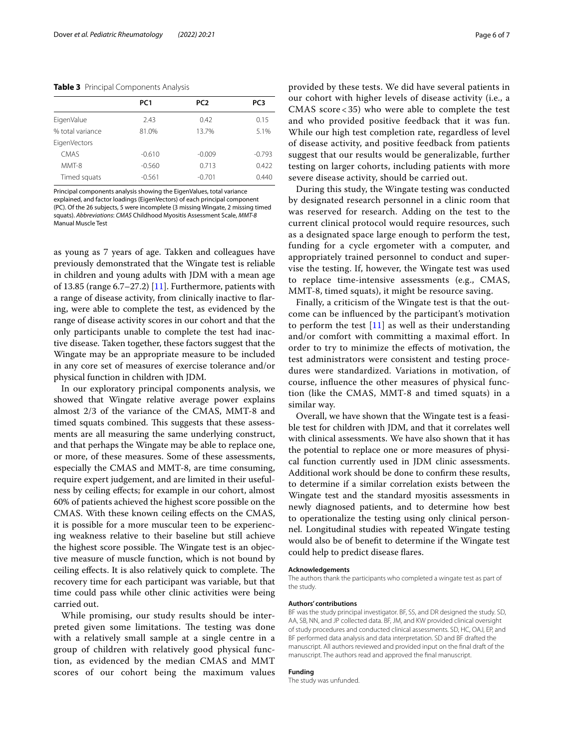#### <span id="page-5-0"></span>**Table 3** Principal Components Analysis

|                     | PC <sub>1</sub> | PC <sub>2</sub> | PC3      |
|---------------------|-----------------|-----------------|----------|
| EigenValue          | 2.43            | 0.42            | 0.15     |
| % total variance    | 81.0%           | 13.7%           | 5.1%     |
| <b>EigenVectors</b> |                 |                 |          |
| CMAS                | $-0.610$        | $-0.009$        | $-0.793$ |
| MMT-8               | $-0.560$        | 0.713           | 0.422    |
| Timed squats        | $-0.561$        | $-0.701$        | 0.440    |
|                     |                 |                 |          |

Principal components analysis showing the EigenValues, total variance explained, and factor loadings (EigenVectors) of each principal component (PC). Of the 26 subjects, 5 were incomplete (3 missing Wingate, 2 missing timed squats). *Abbreviations*: *CMAS* Childhood Myositis Assessment Scale, *MMT-8*

Manual Muscle Test

as young as 7 years of age. Takken and colleagues have previously demonstrated that the Wingate test is reliable in children and young adults with JDM with a mean age of 13.85 (range  $6.7-27.2$ ) [\[11\]](#page-6-9). Furthermore, patients with a range of disease activity, from clinically inactive to faring, were able to complete the test, as evidenced by the range of disease activity scores in our cohort and that the only participants unable to complete the test had inactive disease. Taken together, these factors suggest that the Wingate may be an appropriate measure to be included in any core set of measures of exercise tolerance and/or physical function in children with JDM.

In our exploratory principal components analysis, we showed that Wingate relative average power explains almost 2/3 of the variance of the CMAS, MMT-8 and timed squats combined. This suggests that these assessments are all measuring the same underlying construct, and that perhaps the Wingate may be able to replace one, or more, of these measures. Some of these assessments, especially the CMAS and MMT-8, are time consuming, require expert judgement, and are limited in their usefulness by ceiling efects; for example in our cohort, almost 60% of patients achieved the highest score possible on the CMAS. With these known ceiling efects on the CMAS, it is possible for a more muscular teen to be experiencing weakness relative to their baseline but still achieve the highest score possible. The Wingate test is an objective measure of muscle function, which is not bound by ceiling effects. It is also relatively quick to complete. The recovery time for each participant was variable, but that time could pass while other clinic activities were being carried out.

While promising, our study results should be interpreted given some limitations. The testing was done with a relatively small sample at a single centre in a group of children with relatively good physical function, as evidenced by the median CMAS and MMT scores of our cohort being the maximum values provided by these tests. We did have several patients in our cohort with higher levels of disease activity (i.e., a CMAS score < 35) who were able to complete the test and who provided positive feedback that it was fun. While our high test completion rate, regardless of level of disease activity, and positive feedback from patients suggest that our results would be generalizable, further testing on larger cohorts, including patients with more severe disease activity, should be carried out.

During this study, the Wingate testing was conducted by designated research personnel in a clinic room that was reserved for research. Adding on the test to the current clinical protocol would require resources, such as a designated space large enough to perform the test, funding for a cycle ergometer with a computer, and appropriately trained personnel to conduct and supervise the testing. If, however, the Wingate test was used to replace time-intensive assessments (e.g., CMAS, MMT-8, timed squats), it might be resource saving.

Finally, a criticism of the Wingate test is that the outcome can be infuenced by the participant's motivation to perform the test  $[11]$  $[11]$  as well as their understanding and/or comfort with committing a maximal effort. In order to try to minimize the efects of motivation, the test administrators were consistent and testing procedures were standardized. Variations in motivation, of course, infuence the other measures of physical function (like the CMAS, MMT-8 and timed squats) in a similar way.

Overall, we have shown that the Wingate test is a feasible test for children with JDM, and that it correlates well with clinical assessments. We have also shown that it has the potential to replace one or more measures of physical function currently used in JDM clinic assessments. Additional work should be done to confrm these results, to determine if a similar correlation exists between the Wingate test and the standard myositis assessments in newly diagnosed patients, and to determine how best to operationalize the testing using only clinical personnel. Longitudinal studies with repeated Wingate testing would also be of beneft to determine if the Wingate test could help to predict disease fares.

#### **Acknowledgements**

The authors thank the participants who completed a wingate test as part of the study.

#### **Authors' contributions**

BF was the study principal investigator. BF, SS, and DR designed the study. SD, AA, SB, NN, and JP collected data. BF, JM, and KW provided clinical oversight of study procedures and conducted clinical assessments. SD, HC, OAJ, EP, and BF performed data analysis and data interpretation. SD and BF drafted the manuscript. All authors reviewed and provided input on the fnal draft of the manuscript. The authors read and approved the fnal manuscript.

#### **Funding**

The study was unfunded.